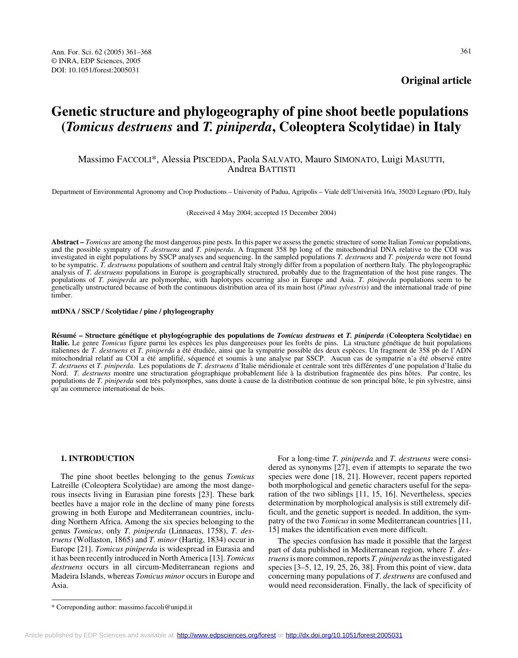**Original article**

# **Genetic structure and phylogeography of pine shoot beetle populations (***Tomicus destruens* **and** *T. piniperda***, Coleoptera Scolytidae) in Italy**

## Massimo FACCOLI\*, Alessia PISCEDDA, Paola SALVATO, Mauro SIMONATO, Luigi MASUTTI, Andrea BATTISTI

Department of Environmental Agronomy and Crop Productions – University of Padua, Agripolis – Viale dell'Università 16/a, 35020 Legnaro (PD), Italy

(Received 4 May 2004; accepted 15 December 2004)

**Abstract –** *Tomicus* are among the most dangerous pine pests. In this paper we assess the genetic structure of some Italian *Tomicus* populations, and the possible sympatry of *T. destruens* and *T. piniperda*. A fragment 358 bp long of the mitochondrial DNA relative to the COI was investigated in eight populations by SSCP analyses and sequencing. In the sampled populations *T. destruens* and *T. piniperda* were not found to be sympatric. *T. destruens* populations of southern and central Italy strongly differ from a population of northern Italy. The phylogeographic analysis of *T. destruens* populations in Europe is geographically structured, probably due to the fragmentation of the host pine ranges. The populations of *T. piniperda* are polymorphic, with haplotypes occurring also in Europe and Asia. *T. piniperda* populations seem to be genetically unstructured because of both the continuous distribution area of its main host (*Pinus sylvestris*) and the international trade of pine timber.

**mtDNA / SSCP / Scolytidae / pine / phylogeography**

**Résumé – Structure génétique et phylogéographie des populations de** *Tomicus destruens* **et** *T. piniperda* **(Coleoptera Scolytidae) en Italie.** Le genre *Tomicus* figure parmi les espèces les plus dangereuses pour les forêts de pins. La structure génétique de huit populations italiennes de *T. destruens* et *T. piniperda* a été étudiée, ainsi que la sympatrie possible des deux espèces. Un fragment de 358 pb de l'ADN mitochondrial relatif au COI a été amplifié, séquencé et soumis à une analyse par SSCP. Aucun cas de sympatrie n'a été observé entre *T. destruens* et *T. piniperda*. Les populations de *T. destruens* d'Italie méridionale et centrale sont très différentes d'une population d'Italie du Nord. *T. destruens* montre une structuration géographique probablement liée à la distribution fragmentée des pins hôtes. Par contre, les populations de *T. piniperda* sont très polymorphes, sans doute à cause de la distribution continue de son principal hôte, le pin sylvestre, ainsi qu'au commerce international de bois.

#### **1. INTRODUCTION**

The pine shoot beetles belonging to the genus *Tomicus* Latreille (Coleoptera Scolytidae) are among the most dangerous insects living in Eurasian pine forests [23]. These bark beetles have a major role in the decline of many pine forests growing in both Europe and Mediterranean countries, including Northern Africa. Among the six species belonging to the genus *Tomicus*, only *T. piniperda* (Linnaeus, 1758), *T. destruens* (Wollaston, 1865) and *T. minor* (Hartig, 1834) occur in Europe [21]. *Tomicus piniperda* is widespread in Eurasia and it has been recently introduced in North America [13]. *Tomicus destruens* occurs in all circum-Mediterranean regions and Madeira Islands, whereas *Tomicus minor* occurs in Europe and Asia.

For a long-time *T. piniperda* and *T. destruens* were considered as synonyms [27], even if attempts to separate the two species were done [18, 21]. However, recent papers reported both morphological and genetic characters useful for the separation of the two siblings [11, 15, 16]. Nevertheless, species determination by morphological analysis is still extremely difficult, and the genetic support is needed. In addition, the sympatry of the two *Tomicus* in some Mediterranean countries [11, 15] makes the identification even more difficult.

The species confusion has made it possible that the largest part of data published in Mediterranean region, where *T. destruens* is more common, reports *T. piniperda* as the investigated species [3–5, 12, 19, 25, 26, 38]. From this point of view, data concerning many populations of *T. destruens* are confused and would need reconsideration. Finally, the lack of specificity of

<sup>\*</sup> Correponding author: massimo.faccoli@unipd.it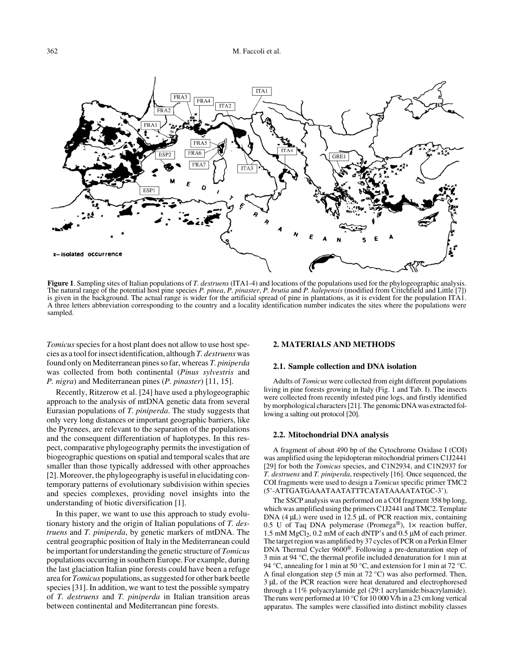

**Figure 1**. Sampling sites of Italian populations of *T. destruens* (ITA1-4) and locations of the populations used for the phylogeographic analysis. The natural range of the potential host pine species *P. pinea*, *P. pinaster*, *P. brutia* and *P. halepensis* (modified from Critchfield and Little [7]) is given in the background. The actual range is wider for the artificial spread of pine in plantations, as it is evident for the population ITA1. A three letters abbreviation corresponding to the country and a locality identification number indicates the sites where the populations were sampled.

*Tomicus* species for a host plant does not allow to use host species as a tool for insect identification, although *T. destruens* was found only on Mediterranean pines so far, whereas *T. piniperda* was collected from both continental (*Pinus sylvestris* and *P. nigra*) and Mediterranean pines (*P. pinaster*) [11, 15].

Recently, Ritzerow et al. [24] have used a phylogeographic approach to the analysis of mtDNA genetic data from several Eurasian populations of *T. piniperda*. The study suggests that only very long distances or important geographic barriers, like the Pyrenees, are relevant to the separation of the populations and the consequent differentiation of haplotypes. In this respect, comparative phylogeography permits the investigation of biogeographic questions on spatial and temporal scales that are smaller than those typically addressed with other approaches [2]. Moreover, the phylogeography is useful in elucidating contemporary patterns of evolutionary subdivision within species and species complexes, providing novel insights into the understanding of biotic diversification [1].

In this paper, we want to use this approach to study evolutionary history and the origin of Italian populations of *T. destruens* and *T. piniperda*, by genetic markers of mtDNA. The central geographic position of Italy in the Mediterranean could be important for understanding the genetic structure of *Tomicus* populations occurring in southern Europe. For example, during the last glaciation Italian pine forests could have been a refuge area for *Tomicus* populations, as suggested for other bark beetle species [31]. In addition, we want to test the possible sympatry of *T. destruens* and *T. piniperda* in Italian transition areas between continental and Mediterranean pine forests.

#### **2. MATERIALS AND METHODS**

#### **2.1. Sample collection and DNA isolation**

Adults of *Tomicus* were collected from eight different populations living in pine forests growing in Italy (Fig. 1 and Tab. I). The insects were collected from recently infested pine logs, and firstly identified by morphological characters [21]. The genomic DNA was extracted following a salting out protocol [20].

#### **2.2. Mitochondrial DNA analysis**

A fragment of about 490 bp of the Cytochrome Oxidase I (COI) was amplified using the lepidopteran mitochondrial primers C1J2441 [29] for both the *Tomicus* species, and C1N2934, and C1N2937 for *T. destruens* and *T. piniperda*, respectively [16]. Once sequenced, the COI fragments were used to design a *Tomicus* specific primer TMC2 (5'-ATTGATGAAATAATATTTCATATAAAATATGC-3').

The SSCP analysis was performed on a COI fragment 358 bp long, which was amplified using the primers C1J2441 and TMC2. Template DNA  $(4 \mu L)$  were used in 12.5  $\mu L$  of PCR reaction mix, containing 0.5 U of Taq DNA polymerase (Promega®), 1× reaction buffer, 1.5 mM  $MgCl<sub>2</sub>$ , 0.2 mM of each dNTP's and 0.5 µM of each primer. The target region was amplified by 37 cycles of PCR on a Perkin Elmer DNA Thermal Cycler 9600®. Following a pre-denaturation step of 3 min at 94 °C, the thermal profile included denaturation for 1 min at 94 °C, annealing for 1 min at 50 °C, and extension for 1 min at 72 °C. A final elongation step (5 min at 72 °C) was also performed. Then, 3 µL of the PCR reaction were heat denatured and electrophoresed through a 11% polyacrylamide gel (29:1 acrylamide:bisacrylamide). The runs were performed at 10 °C for 10 000 V/h in a 23 cm long vertical apparatus. The samples were classified into distinct mobility classes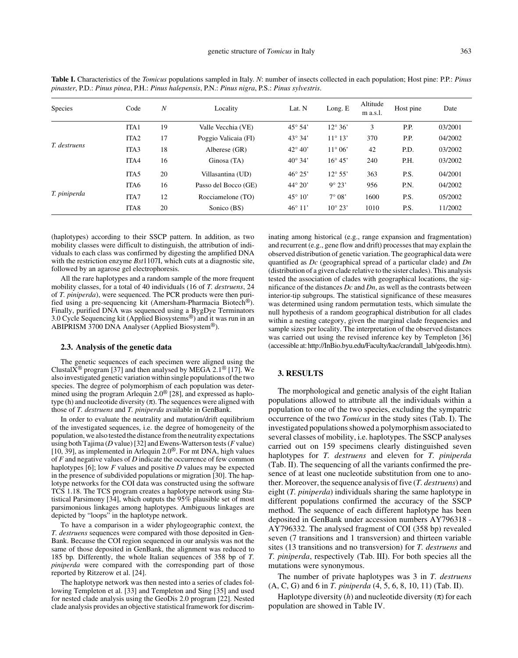| <b>Species</b> | $\boldsymbol{N}$<br>Code |    | Locality             | Lat. N           | Long. E          | Altitude<br>m a.s.l. | Host pine | Date    |  |
|----------------|--------------------------|----|----------------------|------------------|------------------|----------------------|-----------|---------|--|
|                | ITA <sub>1</sub>         | 19 | Valle Vecchia (VE)   | $45^{\circ} 54'$ | $12^{\circ} 36'$ | 3                    | P.P.      | 03/2001 |  |
|                | ITA <sub>2</sub>         | 17 | Poggio Valicaia (FI) | $43^{\circ} 34'$ | $11^{\circ} 13'$ | 370                  | P.P.      | 04/2002 |  |
| T. destruens   | ITA <sub>3</sub>         | 18 | Alberese (GR)        | $42^{\circ} 40'$ | $11^{\circ} 06'$ | 42                   | P.D.      | 03/2002 |  |
|                | ITA4                     | 16 | Ginosa (TA)          | $40^{\circ} 34'$ | $16^{\circ} 45'$ | 240                  | P.H.      | 03/2002 |  |
|                | ITA <sub>5</sub>         | 20 | Villasantina (UD)    | $46^{\circ} 25'$ | $12^{\circ} 55'$ | 363                  | P.S.      | 04/2001 |  |
|                | ITA6                     | 16 | Passo del Bocco (GE) | $44^{\circ} 20'$ | $9^{\circ}$ 23'  | 956                  | P.N.      | 04/2002 |  |
| T. piniperda   | ITA7                     | 12 | Rocciamelone (TO)    | $45^{\circ} 10'$ | $7^\circ 08'$    | 1600                 | P.S.      | 05/2002 |  |
|                | ITA <sub>8</sub>         | 20 | Sonico (BS)          | $46^{\circ} 11'$ | $10^{\circ} 23'$ | 1010                 | P.S.      | 11/2002 |  |

**Table I.** Characteristics of the *Tomicus* populations sampled in Italy. *N*: number of insects collected in each population; Host pine: P.P.: *Pinus pinaster*, P.D.: *Pinus pinea*, P.H.: *Pinus halepensis*, P.N.: *Pinus nigra*, P.S.: *Pinus sylvestris*.

(haplotypes) according to their SSCP pattern. In addition, as two mobility classes were difficult to distinguish, the attribution of individuals to each class was confirmed by digesting the amplified DNA with the restriction enzyme *Bst*1107I, which cuts at a diagnostic site, followed by an agarose gel electrophoresis.

All the rare haplotypes and a random sample of the more frequent mobility classes, for a total of 40 individuals (16 of *T. destruens*, 24 of *T. piniperda*), were sequenced. The PCR products were then purified using a pre-sequencing kit (Amersham-Pharmacia Biotech®). Finally, purified DNA was sequenced using a BygDye Terminators 3.0 Cycle Sequencing kit (Applied Biosystems®) and it was run in an ABIPRISM 3700 DNA Analyser (Applied Biosystem®).

#### **2.3. Analysis of the genetic data**

The genetic sequences of each specimen were aligned using the Clustal $X^{\textcircled{\tiny{\text{B}}}}$  program [37] and then analysed by MEGA 2.1<sup>\terroroup.</sup> also investigated genetic variation within single populations of the two species. The degree of polymorphism of each population was determined using the program Arlequin 2.0<sup>®</sup> [28], and expressed as haplotype (h) and nucleotide diversity  $(\pi)$ . The sequences were aligned with those of *T. destruens* and *T. piniperda* available in GenBank.

In order to evaluate the neutrality and mutation/drift equilibrium of the investigated sequences, i.e. the degree of homogeneity of the population, we also tested the distance from the neutrality expectations using both Tajima (*D* value) [32] and Ewens-Watterson tests (*F* value) [10, 39], as implemented in Arlequin 2.0®. For mt DNA, high values of *F* and negative values of *D* indicate the occurrence of few common haplotypes [6]; low *F* values and positive *D* values may be expected in the presence of subdivided populations or migration [30]. The haplotype networks for the COI data was constructed using the software TCS 1.18. The TCS program creates a haplotype network using Statistical Parsimony [34], which outputs the 95% plausible set of most parsimonious linkages among haplotypes. Ambiguous linkages are depicted by "loops" in the haplotype network.

To have a comparison in a wider phylogeographic context, the *T. destruens* sequences were compared with those deposited in Gen-Bank. Because the COI region sequenced in our analysis was not the same of those deposited in GenBank, the alignment was reduced to 185 bp*.* Differently, the whole Italian sequences of 358 bp of *T. piniperda* were compared with the corresponding part of those reported by Ritzerow et al. [24].

The haplotype network was then nested into a series of clades following Templeton et al. [33] and Templeton and Sing [35] and used for nested clade analysis using the GeoDis 2.0 program [22]. Nested clade analysis provides an objective statistical framework for discriminating among historical (e.g., range expansion and fragmentation) and recurrent (e.g., gene flow and drift) processes that may explain the observed distribution of genetic variation. The geographical data were quantified as *Dc* (geographical spread of a particular clade) and *Dn* (distribution of a given clade relative to the sister clades). This analysis tested the association of clades with geographical locations, the significance of the distances *Dc* and *Dn*, as well as the contrasts between interior-tip subgroups. The statistical significance of these measures was determined using random permutation tests, which simulate the null hypothesis of a random geographical distribution for all clades within a nesting category, given the marginal clade frequencies and sample sizes per locality. The interpretation of the observed distances was carried out using the revised inference key by Templeton [36] (accessible at: http://InBio.byu.edu/Faculty/kac/crandall\_lab/geodis.htm).

### **3. RESULTS**

The morphological and genetic analysis of the eight Italian populations allowed to attribute all the individuals within a population to one of the two species, excluding the sympatric occurrence of the two *Tomicus* in the study sites (Tab. I). The investigated populations showed a polymorphism associated to several classes of mobility, i.e. haplotypes. The SSCP analyses carried out on 159 specimens clearly distinguished seven haplotypes for *T. destruens* and eleven for *T. piniperda* (Tab. II). The sequencing of all the variants confirmed the presence of at least one nucleotide substitution from one to another. Moreover, the sequence analysis of five (*T. destruens*) and eight (*T. piniperda*) individuals sharing the same haplotype in different populations confirmed the accuracy of the SSCP method. The sequence of each different haplotype has been deposited in GenBank under accession numbers AY796318 - AY796332. The analysed fragment of COI (358 bp) revealed seven (7 transitions and 1 transversion) and thirteen variable sites (13 transitions and no transversion) for *T. destruens* and *T. piniperda*, respectively (Tab. III). For both species all the mutations were synonymous.

The number of private haplotypes was 3 in *T. destruens* (A, C, G) and 6 in *T. piniperda* (4, 5, 6, 8, 10, 11) (Tab. II).

Haplotype diversity  $(h)$  and nucleotide diversity  $(\pi)$  for each population are showed in Table IV.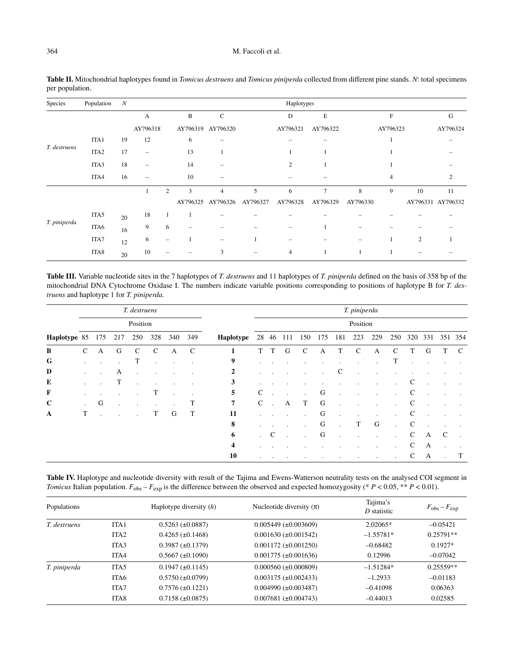## 364 M. Faccoli et al.

| Species      | Population       | N  |          |                |                          |             |          | Haplotypes     |                |          |            |                |                   |
|--------------|------------------|----|----------|----------------|--------------------------|-------------|----------|----------------|----------------|----------|------------|----------------|-------------------|
|              |                  |    | А        |                | $\, {\bf B}$             | $\mathbf C$ |          | D              | E              |          | $_{\rm F}$ |                | G                 |
|              |                  |    | AY796318 |                | AY796319                 | AY796320    |          | AY796321       | AY796322       |          | AY796323   |                | AY796324          |
| T. destruens | ITA1             | 19 | 12       |                | 6                        |             |          |                |                |          |            |                |                   |
|              | ITA <sub>2</sub> | 17 | $\equiv$ |                | 13                       |             |          |                |                |          |            |                |                   |
|              | 18<br>ITA3       |    | -        |                | 14                       |             |          | $\overline{c}$ |                |          |            |                |                   |
|              | ITA4             | 16 |          |                | 10                       |             |          |                |                |          | 4          |                | 2                 |
|              |                  |    |          | $\overline{2}$ | 3                        | 4           | 5        | 6              | $\overline{7}$ | 8        | 9          | 10             | 11                |
|              |                  |    |          |                | AY796325                 | AY796326    | AY796327 | AY796328       | AY796329       | AY796330 |            |                | AY796331 AY796332 |
| T. piniperda | ITA5             | 20 | 18       |                |                          |             |          |                |                |          |            |                |                   |
|              | ITA6             | 16 | 9        | 6              | $\overline{\phantom{0}}$ |             |          |                |                |          |            |                |                   |
|              | ITA7             | 12 | 6        |                |                          | -           |          |                |                |          |            | $\overline{2}$ |                   |
|              | ITA8             | 20 | 10       |                |                          | 3           |          | $\overline{4}$ |                |          |            |                |                   |

**Table II.** Mitochondrial haplotypes found in *Tomicus destruens* and *Tomicus piniperda* collected from different pine stands. *N*: total specimens per population.

**Table III.** Variable nucleotide sites in the 7 haplotypes of *T. destruens* and 11 haplotypes of *T. piniperda* defined on the basis of 358 bp of the mitochondrial DNA Cytochrome Oxidase I. The numbers indicate variable positions corresponding to positions of haplotype B for *T. destruens* and haplotype 1 for *T. piniperda.*

|                  | T. destruens<br>Position |   |     |                      |                      |         |             | T. piniperda            |              |               |           |               |     |              |               |     |               |              |     |              |         |
|------------------|--------------------------|---|-----|----------------------|----------------------|---------|-------------|-------------------------|--------------|---------------|-----------|---------------|-----|--------------|---------------|-----|---------------|--------------|-----|--------------|---------|
|                  |                          |   |     |                      |                      |         |             | Position                |              |               |           |               |     |              |               |     |               |              |     |              |         |
| Haplotype 85 175 |                          |   | 217 | 250                  | 328                  | 340     | 349         | Haplotype               |              |               | 28 46 111 | 150           | 175 | 181          | 223           | 229 | 250           | 320          | 331 |              | 351 354 |
| B                | $\mathcal{C}$            | A | G   | $\mathcal{C}$        | $\mathcal{C}$        | А       | $\mathbf C$ | 1                       | T            | T             | G         | $\mathcal{C}$ | A   | T            | $\mathcal{C}$ | A   | $\mathcal{C}$ | T            | G   | T            | C       |
| G                |                          |   |     | T                    | $\ddot{\phantom{a}}$ | $\cdot$ |             | 9                       |              |               |           |               |     |              | $\cdot$       |     | T             |              |     |              |         |
| D                |                          |   | A   | $\ddot{\phantom{a}}$ | $\cdot$              |         | ٠           | 2                       |              |               |           |               |     | $\mathsf{C}$ |               |     |               |              |     |              |         |
| E                |                          |   | T   | $\cdot$              | $\bullet$            | $\cdot$ |             | 3                       |              |               |           |               |     |              |               |     |               | C            |     |              |         |
| F                | $\bullet$                |   |     |                      | Т                    | $\cdot$ |             | 5                       | C            |               |           | $\cdot$       | G   | $\bullet$    |               |     |               | $\mathsf{C}$ |     |              |         |
| $\mathbf C$      | $\ddot{\phantom{a}}$     | G |     |                      | $\bullet$            |         | Т           | 7                       | $\mathsf{C}$ |               | A         | T             | G   |              |               |     |               | C            |     |              |         |
| $\mathbf A$      | T                        |   |     |                      | T                    | G       | T           | 11                      |              |               |           |               | G   | $\bullet$    | $\bullet$     |     |               | C            |     |              |         |
|                  |                          |   |     |                      |                      |         |             | 8                       |              |               |           |               | G   | $\epsilon$   | T             | G   |               | $\mathsf{C}$ |     |              |         |
|                  |                          |   |     |                      |                      |         |             | 6                       |              | $\mathcal{C}$ |           |               | G   | $\epsilon$   |               |     |               | $\mathsf{C}$ | A   | $\mathsf{C}$ | $\cdot$ |
|                  |                          |   |     |                      |                      |         |             | $\overline{\mathbf{4}}$ |              |               |           |               |     |              |               |     |               | $\mathsf{C}$ | A   |              |         |
|                  |                          |   |     |                      |                      |         |             | 10                      | $\bullet$    |               |           |               |     |              |               | ٠   | $\cdot$       | $\mathsf{C}$ | A   | $\bullet$    | T       |

Table IV. Haplotype and nucleotide diversity with result of the Tajima and Ewens-Watterson neutrality tests on the analysed COI segment in *Tomicus* Italian population.  $F_{obs} - F_{exp}$  is the difference between the observed and expected homozygosity (\*  $P < 0.05$ , \*\*  $P < 0.01$ ).

| Populations  |                  | Haplotype diversity $(h)$ | Nucleotide diversity $(\pi)$  | Tajima's<br>D statistic | $F_{\rm obs} - F_{\rm exp}$ |
|--------------|------------------|---------------------------|-------------------------------|-------------------------|-----------------------------|
| T. destruens | ITA <sub>1</sub> | $0.5263 \ (\pm 0.0887)$   | $0.005449 \ (\pm 0.003609)$   | $2.02065*$              | $-0.05421$                  |
|              | ITA <sub>2</sub> | $0.4265 (\pm 0.1468)$     | $0.001630 (\pm 0.001542)$     | $-1.55781*$             | $0.25791**$                 |
|              | ITA <sub>3</sub> | $0.3987 \ (\pm 0.1379)$   | $0.001172 \ (\pm 0.001250)$   | $-0.68482$              | $0.1927*$                   |
|              | ITA4             | $0.5667 \ (\pm 0.1090)$   | $0.001775 (\pm 0.001636)$     | 0.12996                 | $-0.07042$                  |
| T. piniperda | ITA <sub>5</sub> | $0.1947 \ (\pm 0.1145)$   | $0.000560$ ( $\pm 0.000809$ ) | $-1.51284*$             | $0.25559**$                 |
|              | ITA6             | $0.5750 \ (\pm 0.0799)$   | $0.003175 (\pm 0.002433)$     | $-1.2933$               | $-0.01183$                  |
|              | ITA7             | $0.7576 \ (\pm 0.1221)$   | $0.004990 \ (\pm 0.003487)$   | $-0.41098$              | 0.06363                     |
|              | ITA <sub>8</sub> | $0.7158 \ (\pm 0.0875)$   | $0.007681 (\pm 0.004743)$     | $-0.44013$              | 0.02585                     |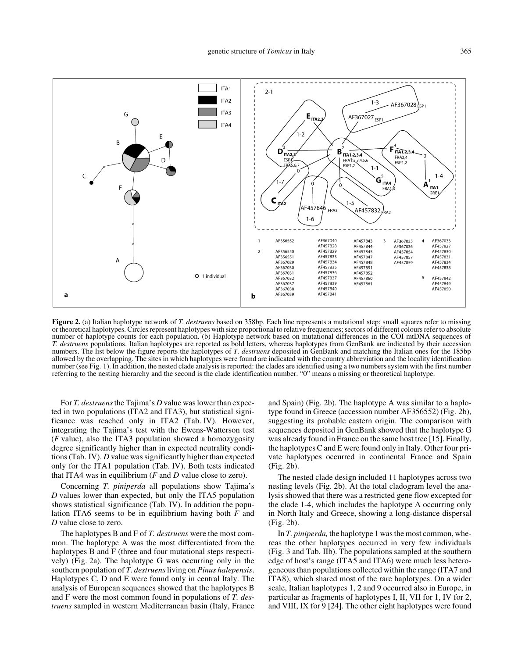

**Figure 2.** (a) Italian haplotype network of *T. destruens* based on 358bp. Each line represents a mutational step; small squares refer to missing or theoretical haplotypes. Circles represent haplotypes with size proportional to relative frequencies; sectors of different colours refer to absolute number of haplotype counts for each population. (b) Haplotype network based on mutational differences in the COI mtDNA sequences of *T. destruens* populations. Italian haplotypes are reported as bold letters, whereas haplotypes from GenBank are indicated by their accession numbers. The list below the figure reports the haplotypes of *T. destruens* deposited in GenBank and matching the Italian ones for the 185bp allowed by the overlapping. The sites in which haplotypes were found are indicated with the country abbreviation and the locality identification number (see Fig. 1). In addition, the nested clade analysis is reported: the clades are identified using a two numbers system with the first number referring to the nesting hierarchy and the second is the clade identification number. "0" means a missing or theoretical haplotype.

For *T. destruens* the Tajima's *D* value was lower than expected in two populations (ITA2 and ITA3), but statistical significance was reached only in ITA2 (Tab. IV). However, integrating the Tajima's test with the Ewens-Watterson test (*F* value), also the ITA3 population showed a homozygosity degree significantly higher than in expected neutrality conditions (Tab. IV). *D* value was significantly higher than expected only for the ITA1 population (Tab. IV). Both tests indicated that ITA4 was in equilibrium (*F* and *D* value close to zero).

Concerning *T. piniperda* all populations show Tajima's *D* values lower than expected, but only the ITA5 population shows statistical significance (Tab. IV). In addition the population ITA6 seems to be in equilibrium having both *F* and *D* value close to zero.

The haplotypes B and F of *T. destruens* were the most common. The haplotype A was the most differentiated from the haplotypes B and F (three and four mutational steps respectively) (Fig. 2a). The haplotype G was occurring only in the southern population of *T. destruens* living on *Pinus halepensis*. Haplotypes C, D and E were found only in central Italy. The analysis of European sequences showed that the haplotypes B and F were the most common found in populations of *T. destruens* sampled in western Mediterranean basin (Italy, France

and Spain) (Fig. 2b). The haplotype A was similar to a haplotype found in Greece (accession number AF356552) (Fig. 2b), suggesting its probable eastern origin. The comparison with sequences deposited in GenBank showed that the haplotype G was already found in France on the same host tree [15]. Finally, the haplotypes C and E were found only in Italy. Other four private haplotypes occurred in continental France and Spain (Fig. 2b).

The nested clade design included 11 haplotypes across two nesting levels (Fig. 2b). At the total cladogram level the analysis showed that there was a restricted gene flow excepted for the clade 1-4, which includes the haplotype A occurring only in North Italy and Greece, showing a long-distance dispersal (Fig. 2b).

In *T. piniperda,* the haplotype 1 was the most common, whereas the other haplotypes occurred in very few individuals (Fig. 3 and Tab. IIb). The populations sampled at the southern edge of host's range (ITA5 and ITA6) were much less heterogeneous than populations collected within the range (ITA7 and ITA8), which shared most of the rare haplotypes. On a wider scale, Italian haplotypes 1, 2 and 9 occurred also in Europe, in particular as fragments of haplotypes I, II, VII for 1, IV for 2, and VIII, IX for 9 [24]. The other eight haplotypes were found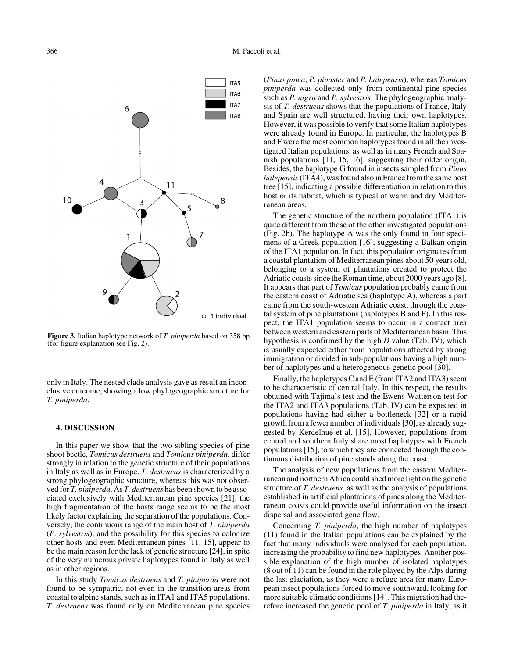

**Figure 3.** Italian haplotype network of *T. piniperda* based on 358 bp (for figure explanation see Fig. 2).

only in Italy. The nested clade analysis gave as result an inconclusive outcome, showing a low phylogeographic structure for *T. piniperda*.

#### **4. DISCUSSION**

In this paper we show that the two sibling species of pine shoot beetle, *Tomicus destruens* and *Tomicus piniperda*, differ strongly in relation to the genetic structure of their populations in Italy as well as in Europe. *T. destruens* is characterized by a strong phylogeographic structure, whereas this was not observed for *T. piniperda*. As *T. destruens* has been shown to be associated exclusively with Mediterranean pine species [21], the high fragmentation of the hosts range seems to be the most likely factor explaining the separation of the populations. Conversely, the continuous range of the main host of *T. piniperda* (*P. sylvestris*), and the possibility for this species to colonize other hosts and even Mediterranean pines [11, 15], appear to be the main reason for the lack of genetic structure [24], in spite of the very numerous private haplotypes found in Italy as well as in other regions.

In this study *Tomicus destruens* and *T. piniperda* were not found to be sympatric, not even in the transition areas from coastal to alpine stands, such as in ITA1 and ITA5 populations. *T. destruens* was found only on Mediterranean pine species

(*Pinus pinea*, *P. pinaster* and *P. halepensis*), whereas *Tomicus piniperda* was collected only from continental pine species such as *P. nigra* and *P. sylvestris*. The phylogeographic analysis of *T. destruens* shows that the populations of France, Italy and Spain are well structured, having their own haplotypes. However, it was possible to verify that some Italian haplotypes were already found in Europe. In particular, the haplotypes B and F were the most common haplotypes found in all the investigated Italian populations, as well as in many French and Spanish populations [11, 15, 16], suggesting their older origin. Besides, the haplotype G found in insects sampled from *Pinus halepensis* (ITA4), was found also in France from the same host tree [15], indicating a possible differentiation in relation to this host or its habitat, which is typical of warm and dry Mediterranean areas.

The genetic structure of the northern population (ITA1) is quite different from those of the other investigated populations (Fig. 2b). The haplotype A was the only found in four specimens of a Greek population [16], suggesting a Balkan origin of the ITA1 population. In fact, this population originates from a coastal plantation of Mediterranean pines about 50 years old, belonging to a system of plantations created to protect the Adriatic coasts since the Roman time, about 2000 years ago [8]. It appears that part of *Tomicus* population probably came from the eastern coast of Adriatic sea (haplotype A), whereas a part came from the south-western Adriatic coast, through the coastal system of pine plantations (haplotypes B and F). In this respect, the ITA1 population seems to occur in a contact area between western and eastern parts of Mediterranean basin. This hypothesis is confirmed by the high *D* value (Tab. IV), which is usually expected either from populations affected by strong immigration or divided in sub-populations having a high number of haplotypes and a heterogeneous genetic pool [30].

Finally, the haplotypes C and E (from ITA2 and ITA3) seem to be characteristic of central Italy. In this respect, the results obtained with Tajima's test and the Ewens-Watterson test for the ITA2 and ITA3 populations (Tab. IV) can be expected in populations having had either a bottleneck [32] or a rapid growth from a fewer number of individuals [30], as already suggested by Kerdelhué et al. [15]. However, populations from central and southern Italy share most haplotypes with French populations [15], to which they are connected through the continuous distribution of pine stands along the coast.

The analysis of new populations from the eastern Mediterranean and northern Africa could shed more light on the genetic structure of *T. destruens*, as well as the analysis of populations established in artificial plantations of pines along the Mediterranean coasts could provide useful information on the insect dispersal and associated gene flow.

Concerning *T. piniperda*, the high number of haplotypes (11) found in the Italian populations can be explained by the fact that many individuals were analysed for each population, increasing the probability to find new haplotypes. Another possible explanation of the high number of isolated haplotypes (8 out of 11) can be found in the role played by the Alps during the last glaciation, as they were a refuge area for many European insect populations forced to move southward, looking for more suitable climatic conditions [14]. This migration had therefore increased the genetic pool of *T. piniperda* in Italy, as it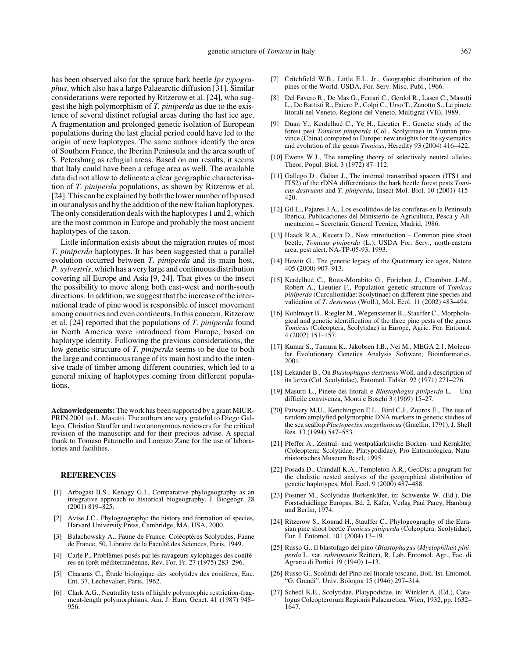has been observed also for the spruce bark beetle *Ips typographus*, which also has a large Palaearctic diffusion [31]. Similar considerations were reported by Ritzerow et al. [24], who suggest the high polymorphism of *T. piniperda* as due to the existence of several distinct refugial areas during the last ice age. A fragmentation and prolonged genetic isolation of European populations during the last glacial period could have led to the origin of new haplotypes. The same authors identify the area of Southern France, the Iberian Peninsula and the area south of S. Petersburg as refugial areas. Based on our results, it seems that Italy could have been a refuge area as well. The available data did not allow to delineate a clear geographic characterisation of *T. piniperda* populations, as shown by Ritzerow et al. [24]. This can be explained by both the lower number of bp used in our analysis and by the addition of the new Italian haplotypes. The only consideration deals with the haplotypes 1 and 2, which are the most common in Europe and probably the most ancient haplotypes of the taxon.

Little information exists about the migration routes of most *T. piniperda* haplotypes. It has been suggested that a parallel evolution occurred between *T. piniperda* and its main host, *P. sylvestris*, which has a very large and continuous distribution covering all Europe and Asia [9, 24]. That gives to the insect the possibility to move along both east-west and north-south directions. In addition, we suggest that the increase of the international trade of pine wood is responsible of insect movement among countries and even continents. In this concern, Ritzerow et al. [24] reported that the populations of *T. piniperda* found in North America were introduced from Europe, based on haplotype identity. Following the previous considerations, the low genetic structure of *T. piniperda* seems to be due to both the large and continuous range of its main host and to the intensive trade of timber among different countries, which led to a general mixing of haplotypes coming from different populations.

**Acknowledgements:** The work has been supported by a grant MIUR-PRIN 2001 to L. Masutti. The authors are very grateful to Diego Gallego, Christian Stauffer and two anonymous reviewers for the critical revision of the manuscript and for their precious advise. A special thank to Tomaso Patarnello and Lorenzo Zane for the use of laboratories and facilities.

#### **REFERENCES**

- [1] Arbogast B.S., Kenagy G.J., Comparative phylogeography as an integrative approach to historical biogeography, J. Biogeogr. 28  $(2001)$  819–825.
- [2] Avise J.C., Phylogeography: the history and formation of species, Harvard University Press, Cambridge, MA, USA, 2000.
- [3] Balachowsky A., Faune de France: Coléoptères Scolytides, Faune de France, 50, Libraire de la Faculté des Sciences, Paris, 1949.
- [4] Carle P., Problèmes posés par les ravageurs xylophages des conifères en forêt méditerranéenne, Rev. For. Fr. 27 (1975) 283–296.
- [5] Chararas C., Étude biologique des scolytides des conifères, Enc. Ent. 37, Lechevalier, Paris, 1962.
- [6] Clark A.G., Neutrality tests of highly polymorphic restriction-fragment-length polymorphisms, Am. J. Hum. Genet. 41 (1987) 948– 956.
- [7] Critchfield W.B., Little E.L. Jr., Geographic distribution of the pines of the World. USDA, For. Serv. Misc. Publ., 1966.
- [8] Del Favero R., De Mas G., Ferrari C., Gerdol R., Lasen C., Masutti L., De Battisti R., Paiero P., Colpi C., Urso T., Zanotto S., Le pinete litorali nel Veneto, Regione del Veneto, Multigraf (VE), 1989.
- [9] Duan Y., Kerdelhué C., Ye H., Lieutier F., Genetic study of the forest pest *Tomicus piniperda* (Col., Scolytinae) in Yunnan province (China) compared to Europe: new insights for the systematics and evolution of the genus *Tomicus*, Heredity 93 (2004) 416–422.
- [10] Ewens W.J., The sampling theory of selectively neutral alleles, Theor. Popul. Biol. 3  $(1972)$  87–112.
- [11] Gallego D., Galian J., The internal transcribed spacers (ITS1 and ITS2) of the rDNA differentiates the bark beetle forest pests *Tomicus destruens* and *T. piniperda*, Insect Mol. Biol. 10 (2001) 415– 420.
- [12] Gil L., Pajares J.A., Los escolitidos de las coniferas en la Peninsula Iberica, Publicaciones del Ministerio de Agricultura, Pesca y Alimentacion – Secretaria General Tecnica, Madrid, 1986.
- [13] Haack R.A., Kucera D., New introduction Common pine shoot beetle, *Tomicus piniperda* (L.), USDA For. Serv., north-eastern area, pest alert, NA-TP-05-93, 1993.
- [14] Hewitt G., The genetic legacy of the Quaternary ice ages, Nature 405 (2000) 907–913.
- [15] Kerdelhué C., Roux-Morabito G., Forichon J., Chambon J.-M., Robert A., Lieutier F., Population genetic structure of *Tomicus piniperda* (Curculionidae: Scolytinae) on different pine species and validation of *T. destruens* (Woll.), Mol. Ecol. 11 (2002) 483–494.
- [16] Kohlmayr B., Riegler M., Wegensteiner R., Stauffer C., Morphological and genetic identification of the three pine pests of the genus *Tomicus* (Coleoptera, Scolytidae) in Europe, Agric. For. Entomol. 4 (2002) 151–157.
- [17] Kumar S., Tamura K., Jakobsen I.B., Nei M., MEGA 2.1, Molecular Evolutionary Genetics Analysis Software, Bioinformatics, 2001.
- [18] Lekander B., On *Blastophagus destruens* Woll. and a description of its larva (Col. Scolytidae), Entomol. Tidskr. 92 (1971) 271–276.
- [19] Masutti L., Pinete dei litorali e *Blastophagus piniperda* L. Una difficile convivenza, Monti e Boschi 3 (1969) 15–27.
- [20] Patwary M.U., Kenchington E.L., Bird C.J., Zouros E., The use of random amplyfied polymorphic DNA markers in genetic studies of the sea scallop *Plactopecten magellanicus* (Gmellin, 1791), J. Shell Res. 13 (1994) 547–553.
- [21] Pfeffer A., Zentral- und westpaläarktische Borken- und Kernkäfer (Coleoptera: Scolytidae, Platypodidae), Pro Entomologica, Naturhistorisches Museum Basel, 1995.
- [22] Posada D., Crandall K.A., Templeton A.R., GeoDis: a program for the cladistic nested analysis of the geographical distribution of genetic haplotypes, Mol. Ecol. 9 (2000) 487–488.
- [23] Postner M., Scolytidae Borkenkäfer, in: Schwenke W. (Ed.), Die Forstschädlinge Europas, Bd. 2, Käfer, Verlag Paul Parey, Hamburg und Berlin, 1974.
- [24] Ritzerow S., Konrad H., Stauffer C., Phylogeography of the Eurasian pine shoot beetle *Tomicus piniperda* (Coleoptera: Scolytidae), Eur. J. Entomol. 101 (2004) 13–19.
- [25] Russo G., Il blastofago del pino (*Blastophagus* (*Myelophilus*) *piniperda* L. var. *rubripennis* Reitter), R. Lab. Entomol. Agr., Fac. di Agraria di Portici 19 (1940) 1–13.
- [26] Russo G., Scolitidi del Pino del litorale toscano, Boll. Ist. Entomol. "G. Grandi", Univ. Bologna 15 (1946) 297–314.
- [27] Schedl K.E., Scolytidae, Platypodidae, in: Winkler A. (Ed.), Catalogus Coleopterorum Regionis Palaearctica, Wien, 1932, pp. 1632– 1647.